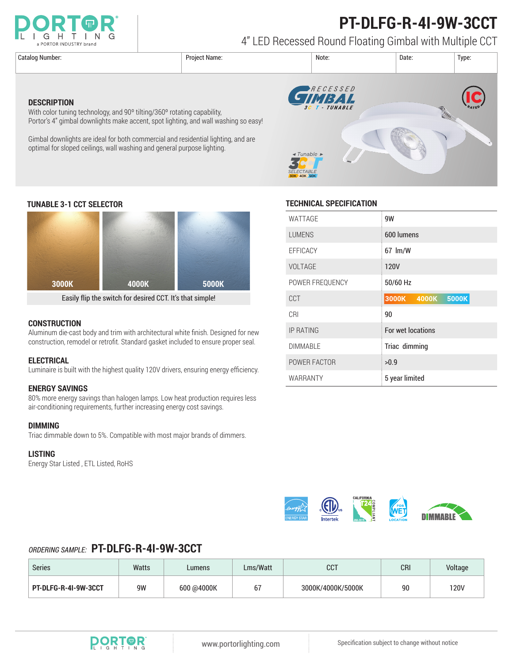

# **PT-DLFG-R-4I-9W-3CCT**

4" LED Recessed Round Floating Gimbal with Multiple CCT

**DESCRIPTION**



### **TUNABLE 3-1 CCT SELECTOR TECHNICAL SPECIFICATION**



With color tuning technology, and 90<sup>°</sup> tilting/360<sup>°</sup> rotating capability,

optimal for sloped ceilings, wall washing and general purpose lighting.

Portor's 4" gimbal downlights make accent, spot lighting, and wall washing so easy!

Gimbal downlights are ideal for both commercial and residential lighting, and are

Easily flip the switch for desired CCT. It's that simple!

#### **CONSTRUCTION**

Aluminum die-cast body and trim with architectural white finish. Designed for new construction, remodel or retrofit. Standard gasket included to ensure proper seal.

#### **ELECTRICAL**

Luminaire is built with the highest quality 120V drivers, ensuring energy efficiency.

#### **ENERGY SAVINGS**

80% more energy savings than halogen lamps. Low heat production requires less air-conditioning requirements, further increasing energy cost savings.

#### **DIMMING**

Triac dimmable down to 5%. Compatible with most major brands of dimmers.

#### **LISTING**

Energy Star Listed , ETL Listed, RoHS

| WATTAGE          | 9W                      |  |  |  |
|------------------|-------------------------|--|--|--|
| <b>LUMENS</b>    | 600 lumens              |  |  |  |
| <b>EFFICACY</b>  | 67 lm/W                 |  |  |  |
| VOLTAGE          | <b>120V</b>             |  |  |  |
| POWER FREQUENCY  | 50/60 Hz                |  |  |  |
| <b>CCT</b>       | 5000K<br>3000K<br>4000K |  |  |  |
| CRI              | 90                      |  |  |  |
| <b>IP RATING</b> | For wet locations       |  |  |  |
| <b>DIMMABLE</b>  | Triac dimming           |  |  |  |
| POWER FACTOR     | >0.9                    |  |  |  |
| WARRANTY         | 5 year limited          |  |  |  |



### *ORDERING SAMPLE:* **PT-DLFG-R-4I-9W-3CCT**

| <b>Series</b>        | Watts | Lumens     | Lms/Watt | ר ה<br><b>UU</b>  | <b>CRI</b> | Voltage |
|----------------------|-------|------------|----------|-------------------|------------|---------|
| PT-DLFG-R-4I-9W-3CCT | 9W    | 600 @4000K | b١       | 3000K/4000K/5000K | 90         | 120V    |